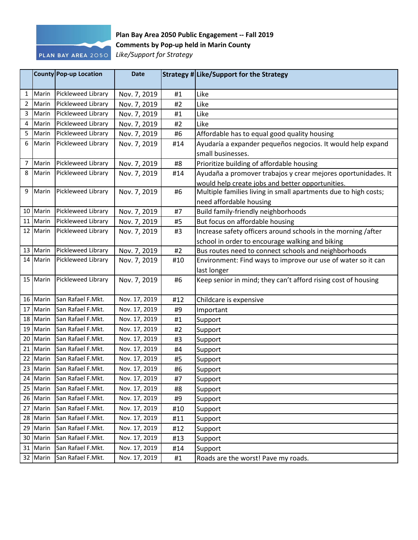

## **Plan Bay Area 2050 Public Engagement -- Fall 2019 Comments by Pop-up held in Marin County**

*Like/Support for Strategy*

|                |          | County Pop-up Location                 | <b>Date</b>                    |     | Strategy # Like/Support for the Strategy                        |
|----------------|----------|----------------------------------------|--------------------------------|-----|-----------------------------------------------------------------|
| 1              | Marin    | Pickleweed Library                     | Nov. 7, 2019                   | #1  | Like                                                            |
| $\overline{2}$ | Marin    | Pickleweed Library                     | Nov. 7, 2019                   | #2  | Like                                                            |
| 3              | Marin    | Pickleweed Library                     | Nov. 7, 2019                   | #1  | Like                                                            |
| 4              | Marin    | Pickleweed Library                     | Nov. 7, 2019                   | #2  | Like                                                            |
| 5              | Marin    | Pickleweed Library                     | Nov. 7, 2019                   | #6  | Affordable has to equal good quality housing                    |
| 6              | Marin    | Pickleweed Library                     | Nov. 7, 2019                   | #14 | Ayudaría a expander pequeños negocios. It would help expand     |
|                |          |                                        |                                |     | small businesses.                                               |
| 7              | Marin    | Pickleweed Library                     | Nov. 7, 2019                   | #8  | Prioritize building of affordable housing                       |
| 8              | Marin    | Pickleweed Library                     | Nov. 7, 2019                   | #14 | Ayudaña a promover trabajos y crear mejores oportunidades. It   |
|                |          |                                        |                                |     | would help create jobs and better opportunities.                |
| 9              | Marin    | Pickleweed Library                     | Nov. 7, 2019                   | #6  | Multiple families living in small apartments due to high costs; |
|                |          |                                        |                                |     | need affordable housing                                         |
| 10             | Marin    | Pickleweed Library                     | Nov. 7, 2019                   | #7  | Build family-friendly neighborhoods                             |
| 11             | Marin    | Pickleweed Library                     | Nov. 7, 2019                   | #5  | But focus on affordable housing                                 |
|                | 12 Marin | Pickleweed Library                     | Nov. 7, 2019                   | #3  | Increase safety officers around schools in the morning /after   |
|                |          |                                        |                                |     | school in order to encourage walking and biking                 |
|                | 13 Marin | Pickleweed Library                     | Nov. 7, 2019                   | #2  | Bus routes need to connect schools and neighborhoods            |
|                | 14 Marin | Pickleweed Library                     | Nov. 7, 2019                   | #10 | Environment: Find ways to improve our use of water so it can    |
|                |          |                                        |                                |     | last longer                                                     |
|                | 15 Marin | Pickleweed Library                     | Nov. 7, 2019                   | #6  | Keep senior in mind; they can't afford rising cost of housing   |
|                |          |                                        |                                |     |                                                                 |
|                | 16 Marin | San Rafael F.Mkt.                      | Nov. 17, 2019                  | #12 | Childcare is expensive                                          |
| 17             | Marin    | San Rafael F.Mkt.                      | Nov. 17, 2019                  | #9  | Important                                                       |
|                | 18 Marin | San Rafael F.Mkt.                      | Nov. 17, 2019                  | #1  | Support                                                         |
|                | 19 Marin | San Rafael F.Mkt.                      | Nov. 17, 2019                  | #2  | Support                                                         |
| 20             | Marin    | San Rafael F.Mkt.                      | Nov. 17, 2019                  | #3  | Support                                                         |
| 21             | Marin    | San Rafael F.Mkt.                      | Nov. 17, 2019                  | #4  | Support                                                         |
| 22             | Marin    | San Rafael F.Mkt.                      | Nov. 17, 2019                  | #5  | Support                                                         |
|                | 23 Marin | San Rafael F.Mkt.                      | Nov. 17, 2019                  | #6  | Support                                                         |
|                | 24 Marin | San Rafael F.Mkt.<br>San Rafael F.Mkt. | Nov. 17, 2019                  | #7  | Support                                                         |
| 25             | Marin    |                                        | Nov. 17, 2019                  | #8  | Support                                                         |
|                | 26 Marin | San Rafael F.Mkt.                      | Nov. 17, 2019                  | #9  | Support                                                         |
| 27             | Marin    | San Rafael F.Mkt.                      | Nov. 17, 2019                  | #10 | Support                                                         |
| 28             | Marin    | San Rafael F.Mkt.<br>San Rafael F.Mkt. | Nov. 17, 2019<br>Nov. 17, 2019 | #11 | Support                                                         |
| 29             | Marin    | San Rafael F.Mkt.                      |                                | #12 | Support                                                         |
| 30             | Marin    | San Rafael F.Mkt.                      | Nov. 17, 2019<br>Nov. 17, 2019 | #13 | Support                                                         |
|                | 31 Marin | San Rafael F.Mkt.                      |                                | #14 | Support                                                         |
|                | 32 Marin |                                        | Nov. 17, 2019                  | #1  | Roads are the worst! Pave my roads.                             |